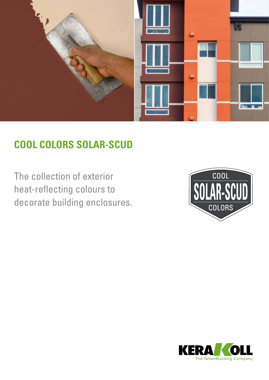

# **COOL COLORS SOLAR-SCUD**

The collection of exterior heat-reflecting colours to decorate building enclosures.



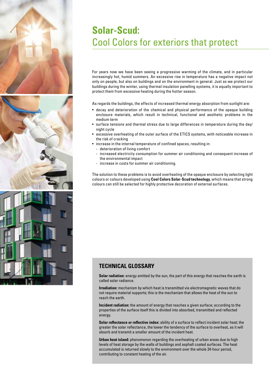



# **Solar-Scud:**  Cool Colors for exteriors that protect

For years now we have been seeing a progressive warming of the climate, and in particular increasingly hot, humid summers. An excessive rise in temperature has a negative impact not only on people, but also on buildings and on the environment in general. Just as we protect our buildings during the winter, using thermal insulation panelling systems, it is equally important to protect them from excessive heating during the hotter season.

As regards the buildings, the effects of increased thermal energy absorption from sunlight are:

- decay and deterioration of the chemical and physical performance of the opaque building enclosure materials, which result in technical, functional and aesthetic problems in the medium term
- surface tensions and thermal stress due to large differences in temperature during the day/ night cycle
- excessive overheating of the outer surface of the ETICS systems, with noticeable increase in the risk of cracking
- increase in the internal temperature of confined spaces, resulting in:
- deterioration of living comfort
- increased electricity consumption for summer air conditioning and consequent increase of the environmental impact
- increase in costs for summer air conditioning.

The solution to these problems is to avoid overheating of the opaque enclosure by selecting light colours or colours developed using **Cool Colors Solar-Scud technology**, which means that strong colours can still be selected for highly protective decoration of external surfaces.

#### **TECHNICAL GLOSSARY**

**Solar radiation:** energy emitted by the sun, the part of this energy that reaches the earth is called solar radiance.

**Irradiation:** mechanism by which heat is transmitted via electromagnetic waves that do not require material supports; this is the mechanism that allows the heat of the sun to reach the earth.

**Incident radiation:** the amount of energy that reaches a given surface; according to the properties of the surface itself this is divided into absorbed, transmitted and reflected energy.

**Solar reflectance or reflective index:** ability of a surface to reflect incident solar heat; the greater the solar reflectance, the lower the tendency of the surface to overheat, as it will absorb and transmit a smaller amount of the incident heat.

**Urban heat island:** phenomenon regarding the overheating of urban areas due to high levels of heat storage by the walls of buildings and asphalt coated surfaces. The heat accumulated is returned slowly to the environment over the whole 24-hour period, contributing to constant heating of the air.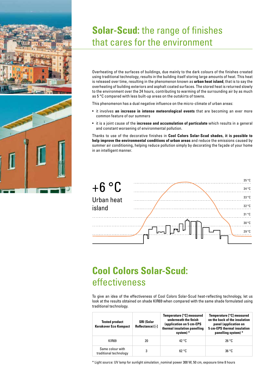

# **Solar-Scud:** the range of finishes that cares for the environment

Overheating of the surfaces of buildings, due mainly to the dark colours of the finishes created using traditional technology, results in the building itself storing large amounts of heat. This heat is released over time, resulting in the phenomenon known as **urban heat island**, that is to say the overheating of building exteriors and asphalt coated surfaces. The stored heat is returned slowly to the environment over the 24 hours, contributing to warming of the surrounding air by as much as 5 °C compared with less built-up areas on the outskirts of towns.

This phenomenon has a dual negative influence on the micro-climate of urban areas:

- it involves **an increase in intense meteorological events** that are becoming an ever more common feature of our summers
- it is a joint cause of the **increase and accumulation of particulate** which results in a general and constant worsening of environmental pollution.

Thanks to use of the decorative finishes in **Cool Colors Solar-Scud shades, it is possible to help improve the environmental conditions of urban areas** and reduce the emissions caused by summer air conditioning, helping reduce pollution simply by decorating the façade of your home in an intelligent manner.



## **Cool Colors Solar-Scud:**  effectiveness

To give an idea of the effectiveness of Cool Colors Solar-Scud heat-reflecting technology, let us look at the results obtained on shade KIR69 when compared with the same shade formulated using traditional technology.

| <b>Tested product</b><br><b>Kerakover Eco Kompact</b> | <b>SRI (Solar</b><br>Reflectance) [-] | Temperature [°C] measured<br>underneath the finish<br>(application on 5 cm-EPS<br>thermal insulation panelling<br>system) * | Temperature [°C] measured<br>on the back of the insulation<br>panel (application on<br><b>5 cm-EPS thermal insulation</b><br>panelling system) * |
|-------------------------------------------------------|---------------------------------------|-----------------------------------------------------------------------------------------------------------------------------|--------------------------------------------------------------------------------------------------------------------------------------------------|
| KIR69                                                 | 20                                    | 42 $^{\circ}$ C.                                                                                                            | 26 °C                                                                                                                                            |
| Same colour with<br>traditional technology            | 3                                     | 62 °C                                                                                                                       | 36 °C                                                                                                                                            |

\* Light source: UV lamp for sunlight simulation\_nominal power 300 W, 50 cm, exposure time 8 hours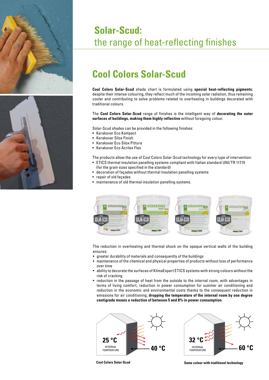



# **Solar-Scud:**  the range of heat-reflecting finishes

## **Cool Colors Solar-Scud**

**Cool Colors Solar-Scud** shade chart is formulated using **special heat-reflecting pigments**; despite their intense colouring, they reflect much of the incoming solar radiation, thus remaining cooler and contributing to solve problems related to overheating in buildings decorated with traditional colours.

#### The **Cool Colors Solar-Scud** range of finishes is the intelligent way of **decorating the outer surfaces of buildings, making them highly reflective** without foregoing colour.

Solar-Scud shades can be provided in the following finishes:

- Kerakover Eco Kompact
- Kerakover Silox Finish
- Kerakover Eco Silox Pittura
- Kerakover Eco Acrilex Flex
- The products allow the use of Cool Colors Solar-Scud technology for every type of intervention:
- ETICS thermal insulation panelling systems compliant with Italian standard UNI/TR 11715 (for the grain sizes specified in the standard)
- decoration of façades without thermal insulation panelling systems
- repair of old façades
- maintenance of old thermal insulation panelling systems.



The reduction in overheating and thermal shock on the opaque vertical walls of the building ensures:

- greater durability of materials and consequently of the buildings
- maintenance of the chemical and physical properties of products without loss of performance over time
- ability to decorate the surfaces of KlimaExpert ETICS systems with strong colours without the risk of cracking
- reduction in the passage of heat from the outside to the internal room, with advantages in terms of living comfort, reduction in power consumption for summer air conditioning and reduction in the economic and environmental costs thanks to the consequent reduction in emissions for air conditioning; **dropping the temperature of the internal room by one degree centigrade means a reduction of between 5 and 8% in power consumption**.





**Cool Colors Solar-Scud**

**Same colour with traditional technology**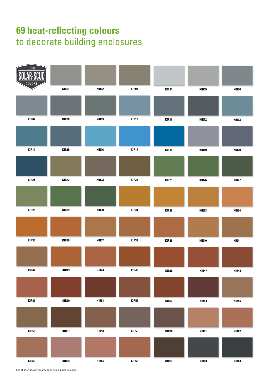# **69 heat-reflecting colours**  to decorate building enclosures



The shades shown are intended as an indication only.